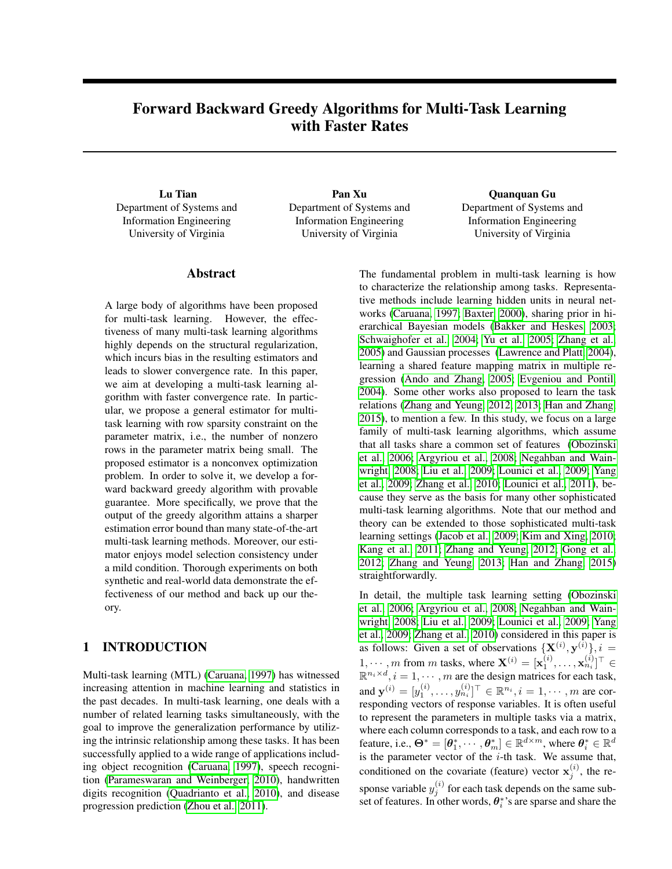# Forward Backward Greedy Algorithms for Multi-Task Learning with Faster Rates

Lu Tian Department of Systems and Information Engineering University of Virginia

Pan Xu Department of Systems and Information Engineering University of Virginia

Quanquan Gu Department of Systems and Information Engineering University of Virginia

## Abstract

A large body of algorithms have been proposed for multi-task learning. However, the effectiveness of many multi-task learning algorithms highly depends on the structural regularization, which incurs bias in the resulting estimators and leads to slower convergence rate. In this paper, we aim at developing a multi-task learning algorithm with faster convergence rate. In particular, we propose a general estimator for multitask learning with row sparsity constraint on the parameter matrix, i.e., the number of nonzero rows in the parameter matrix being small. The proposed estimator is a nonconvex optimization problem. In order to solve it, we develop a forward backward greedy algorithm with provable guarantee. More specifically, we prove that the output of the greedy algorithm attains a sharper estimation error bound than many state-of-the-art multi-task learning methods. Moreover, our estimator enjoys model selection consistency under a mild condition. Thorough experiments on both synthetic and real-world data demonstrate the effectiveness of our method and back up our theory.

## 1 INTRODUCTION

Multi-task learning (MTL) [\(Caruana, 1997\)](#page-8-0) has witnessed increasing attention in machine learning and statistics in the past decades. In multi-task learning, one deals with a number of related learning tasks simultaneously, with the goal to improve the generalization performance by utilizing the intrinsic relationship among these tasks. It has been successfully applied to a wide range of applications including object recognition [\(Caruana, 1997\)](#page-8-0), speech recognition [\(Parameswaran and Weinberger, 2010\)](#page-9-0), handwritten digits recognition [\(Quadrianto et al., 2010\)](#page-9-1), and disease progression prediction [\(Zhou et al., 2011\)](#page-9-2).

The fundamental problem in multi-task learning is how to characterize the relationship among tasks. Representative methods include learning hidden units in neural networks [\(Caruana, 1997;](#page-8-0) [Baxter, 2000\)](#page-8-1), sharing prior in hierarchical Bayesian models [\(Bakker and Heskes, 2003;](#page-8-2) [Schwaighofer et al., 2004;](#page-9-3) [Yu et al., 2005;](#page-9-4) [Zhang et al.,](#page-9-5) [2005\)](#page-9-5) and Gaussian processes [\(Lawrence and Platt, 2004\)](#page-8-3), learning a shared feature mapping matrix in multiple regression [\(Ando and Zhang, 2005;](#page-7-0) [Evgeniou and Pontil,](#page-8-4) [2004\)](#page-8-4). Some other works also proposed to learn the task relations [\(Zhang and Yeung, 2012,](#page-9-6) [2013;](#page-9-7) [Han and Zhang,](#page-8-5) [2015\)](#page-8-5), to mention a few. In this study, we focus on a large family of multi-task learning algorithms, which assume that all tasks share a common set of features [\(Obozinski](#page-8-6) [et al., 2006;](#page-8-6) [Argyriou et al., 2008;](#page-8-7) [Negahban and Wain](#page-8-8)[wright, 2008;](#page-8-8) [Liu et al., 2009;](#page-8-9) [Lounici et al., 2009;](#page-8-10) [Yang](#page-9-8) [et al., 2009;](#page-9-8) [Zhang et al., 2010;](#page-9-9) [Lounici et al., 2011\)](#page-8-11), because they serve as the basis for many other sophisticated multi-task learning algorithms. Note that our method and theory can be extended to those sophisticated multi-task learning settings [\(Jacob et al., 2009;](#page-8-12) [Kim and Xing, 2010;](#page-8-13) [Kang et al., 2011;](#page-8-14) [Zhang and Yeung, 2012;](#page-9-6) [Gong et al.,](#page-8-15) [2012;](#page-8-15) [Zhang and Yeung, 2013;](#page-9-7) [Han and Zhang, 2015\)](#page-8-5) straightforwardly.

In detail, the multiple task learning setting [\(Obozinski](#page-8-6) [et al., 2006;](#page-8-6) [Argyriou et al., 2008;](#page-8-7) [Negahban and Wain](#page-8-8)[wright, 2008;](#page-8-8) [Liu et al., 2009;](#page-8-9) [Lounici et al., 2009;](#page-8-10) [Yang](#page-9-8) [et al., 2009;](#page-9-8) [Zhang et al., 2010\)](#page-9-9) considered in this paper is as follows: Given a set of observations  $\{X^{(i)}, y^{(i)}\}, i =$  $1, \dots, m$  from m tasks, where  $\mathbf{X}^{(i)} = [\mathbf{x}_1^{(i)}, \dots, \mathbf{x}_{n_i}^{(i)}]^\top \in$  $\mathbb{R}^{n_i \times d}$ ,  $i = 1, \cdots, m$  are the design matrices for each task, and  $\mathbf{y}^{(i)} = [y_1^{(i)}, \dots, y_{n_i}^{(i)}]^\top \in \mathbb{R}^{n_i}, i = 1, \dots, m$  are corresponding vectors of response variables. It is often useful to represent the parameters in multiple tasks via a matrix, where each column corresponds to a task, and each row to a feature, i.e.,  $\mathbf{\Theta}^* = [\theta_1^*, \cdots, \theta_m^*] \in \mathbb{R}^{d \times m}$ , where  $\theta_i^* \in \mathbb{R}^{d}$ is the parameter vector of the  $i$ -th task. We assume that, conditioned on the covariate (feature) vector  $x_j^{(i)}$ , the response variable  $y_j^{(i)}$  for each task depends on the same subset of features. In other words,  $\theta_i^*$ 's are sparse and share the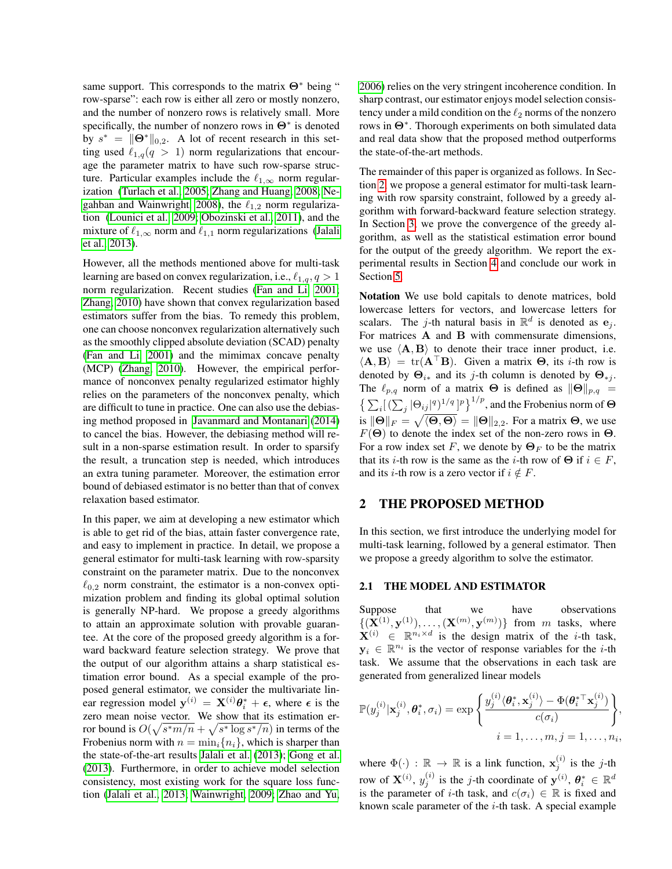same support. This corresponds to the matrix  $\Theta^*$  being " row-sparse": each row is either all zero or mostly nonzero, and the number of nonzero rows is relatively small. More specifically, the number of nonzero rows in  $\Theta^*$  is denoted by  $s^* = ||\Theta^*||_{0,2}$ . A lot of recent research in this setting used  $\ell_{1,q}(q > 1)$  norm regularizations that encourage the parameter matrix to have such row-sparse structure. Particular examples include the  $\ell_{1,\infty}$  norm regularization [\(Turlach et al., 2005;](#page-9-10) [Zhang and Huang, 2008;](#page-9-11) [Ne](#page-8-8)[gahban and Wainwright, 2008\)](#page-8-8), the  $\ell_{1,2}$  norm regularization [\(Lounici et al., 2009;](#page-8-10) [Obozinski et al., 2011\)](#page-8-16), and the mixture of  $\ell_{1,\infty}$  norm and  $\ell_{1,1}$  norm regularizations [\(Jalali](#page-8-17) [et al., 2013\)](#page-8-17).

However, all the methods mentioned above for multi-task learning are based on convex regularization, i.e.,  $\ell_{1,q}, q > 1$ norm regularization. Recent studies [\(Fan and Li, 2001;](#page-8-18) [Zhang, 2010\)](#page-9-12) have shown that convex regularization based estimators suffer from the bias. To remedy this problem, one can choose nonconvex regularization alternatively such as the smoothly clipped absolute deviation (SCAD) penalty [\(Fan and Li, 2001\)](#page-8-18) and the mimimax concave penalty (MCP) [\(Zhang, 2010\)](#page-9-12). However, the empirical performance of nonconvex penalty regularized estimator highly relies on the parameters of the nonconvex penalty, which are difficult to tune in practice. One can also use the debiasing method proposed in [Javanmard and Montanari](#page-8-19) [\(2014\)](#page-8-19) to cancel the bias. However, the debiasing method will result in a non-sparse estimation result. In order to sparsify the result, a truncation step is needed, which introduces an extra tuning parameter. Moreover, the estimation error bound of debiased estimator is no better than that of convex relaxation based estimator.

In this paper, we aim at developing a new estimator which is able to get rid of the bias, attain faster convergence rate, and easy to implement in practice. In detail, we propose a general estimator for multi-task learning with row-sparsity constraint on the parameter matrix. Due to the nonconvex  $\ell_{0,2}$  norm constraint, the estimator is a non-convex optimization problem and finding its global optimal solution is generally NP-hard. We propose a greedy algorithms to attain an approximate solution with provable guarantee. At the core of the proposed greedy algorithm is a forward backward feature selection strategy. We prove that the output of our algorithm attains a sharp statistical estimation error bound. As a special example of the proposed general estimator, we consider the multivariate linear regression model  $y^{(i)} = X^{(i)} \theta_i^* + \epsilon$ , where  $\epsilon$  is the zero mean noise vector. We show that its estimation error bound is  $O(\sqrt{s^*m/n} + \sqrt{s^* \log s^* / n})$  in terms of the Frobenius norm with  $n = \min_i \{n_i\}$ , which is sharper than the state-of-the-art results [Jalali et al.](#page-8-17) [\(2013\)](#page-8-17); [Gong et al.](#page-8-20) [\(2013\)](#page-8-20). Furthermore, in order to achieve model selection consistency, most existing work for the square loss function [\(Jalali et al., 2013;](#page-8-17) [Wainwright, 2009;](#page-9-13) [Zhao and Yu,](#page-9-14) [2006\)](#page-9-14) relies on the very stringent incoherence condition. In sharp contrast, our estimator enjoys model selection consistency under a mild condition on the  $\ell_2$  norms of the nonzero rows in Θ<sup>∗</sup> . Thorough experiments on both simulated data and real data show that the proposed method outperforms the state-of-the-art methods.

The remainder of this paper is organized as follows. In Section [2,](#page-1-0) we propose a general estimator for multi-task learning with row sparsity constraint, followed by a greedy algorithm with forward-backward feature selection strategy. In Section [3,](#page-3-0) we prove the convergence of the greedy algorithm, as well as the statistical estimation error bound for the output of the greedy algorithm. We report the experimental results in Section [4](#page-5-0) and conclude our work in Section [5.](#page-7-1)

Notation We use bold capitals to denote matrices, bold lowercase letters for vectors, and lowercase letters for scalars. The j-th natural basis in  $\mathbb{R}^d$  is denoted as  $e_j$ . For matrices A and B with commensurate dimensions, we use  $\langle A, B \rangle$  to denote their trace inner product, i.e.  $\langle \mathbf{A}, \mathbf{B} \rangle = \text{tr}(\mathbf{A}^\top \mathbf{B})$ . Given a matrix  $\mathbf{\Theta}$ , its *i*-th row is denoted by  $\Theta_{i*}$  and its j-th column is denoted by  $\Theta_{*i}$ . The  $\ell_{p,q}$  norm of a matrix **Θ** is defined as  $\|\Theta\|_{p,q}$  =  $\left\{ \sum_i [(\sum_j |\Theta_{ij}|^q)^{1/q}]^p \right\}^{1/p}$ , and the Frobenius norm of  $\Theta$ is  $\|\Theta\|_F = \sqrt{\langle \Theta, \Theta \rangle} = \|\Theta\|_{2,2}$ . For a matrix  $\Theta$ , we use  $F(\Theta)$  to denote the index set of the non-zero rows in  $\Theta$ . For a row index set F, we denote by  $\Theta_F$  to be the matrix that its *i*-th row is the same as the *i*-th row of  $\Theta$  if  $i \in F$ , and its *i*-th row is a zero vector if  $i \notin F$ .

#### <span id="page-1-0"></span>2 THE PROPOSED METHOD

In this section, we first introduce the underlying model for multi-task learning, followed by a general estimator. Then we propose a greedy algorithm to solve the estimator.

#### 2.1 THE MODEL AND ESTIMATOR

Suppose that we have observations  $\{({\bf X}^{(1)},{\bf y}^{(1)}),\ldots,({\bf X}^{(m)},{\bf y}^{(m)})\}$  from m tasks, where  $\mathbf{X}^{(i)} \in \mathbb{R}^{n_i \times d}$  is the design matrix of the *i*-th task,  $y_i \in \mathbb{R}^{n_i}$  is the vector of response variables for the *i*-th task. We assume that the observations in each task are generated from generalized linear models

$$
\mathbb{P}(y_j^{(i)}|\mathbf{x}_j^{(i)}, \theta_i^*, \sigma_i) = \exp\left\{\frac{y_j^{(i)}\langle\theta_i^*, \mathbf{x}_j^{(i)}\rangle - \Phi(\theta_i^{*T}\mathbf{x}_j^{(i)})}{c(\sigma_i)}\right\},\newline i = 1,\ldots,m, j = 1,\ldots,n_i,
$$

where  $\Phi(\cdot) : \mathbb{R} \to \mathbb{R}$  is a link function,  $\mathbf{x}_j^{(i)}$  is the j-th row of  $\mathbf{X}^{(i)}$ ,  $y_j^{(i)}$  is the j-th coordinate of  $\mathbf{y}^{(i)}$ ,  $\boldsymbol{\theta}_i^* \in \mathbb{R}^d$ is the parameter of *i*-th task, and  $c(\sigma_i) \in \mathbb{R}$  is fixed and known scale parameter of the  $i$ -th task. A special example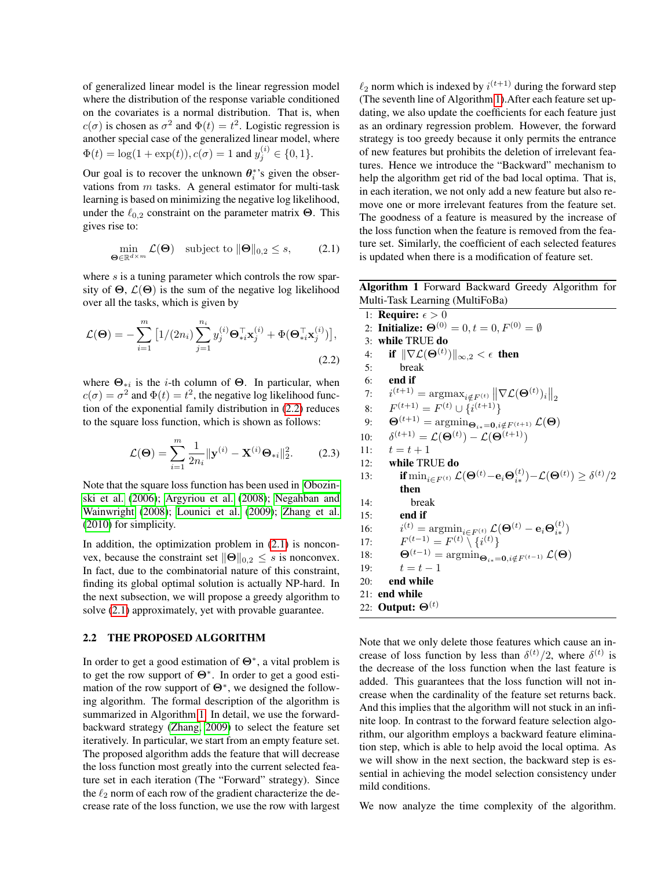of generalized linear model is the linear regression model where the distribution of the response variable conditioned on the covariates is a normal distribution. That is, when  $c(\sigma)$  is chosen as  $\sigma^2$  and  $\Phi(t) = t^2$ . Logistic regression is another special case of the generalized linear model, where  $\Phi(t) = \log(1 + \exp(t)), c(\sigma) = 1$  and  $y_j^{(i)} \in \{0, 1\}.$ 

Our goal is to recover the unknown  $\theta_i^*$ 's given the observations from  $m$  tasks. A general estimator for multi-task learning is based on minimizing the negative log likelihood, under the  $\ell_{0,2}$  constraint on the parameter matrix **Θ**. This gives rise to:

$$
\min_{\boldsymbol{\Theta} \in \mathbb{R}^{d \times m}} \mathcal{L}(\boldsymbol{\Theta}) \quad \text{subject to } \|\boldsymbol{\Theta}\|_{0,2} \le s,
$$
 (2.1)

where  $s$  is a tuning parameter which controls the row sparsity of  $\Theta$ ,  $\mathcal{L}(\Theta)$  is the sum of the negative log likelihood over all the tasks, which is given by

$$
\mathcal{L}(\mathbf{\Theta}) = -\sum_{i=1}^{m} \left[ 1/(2n_i) \sum_{j=1}^{n_i} y_j^{(i)} \mathbf{\Theta}_{*i}^{\top} \mathbf{x}_j^{(i)} + \Phi(\mathbf{\Theta}_{*i}^{\top} \mathbf{x}_j^{(i)}) \right],
$$
\n(2.2)

where  $\Theta_{*i}$  is the *i*-th column of  $\Theta$ . In particular, when  $c(\sigma) = \sigma^2$  and  $\Phi(t) = t^2$ , the negative log likelihood function of the exponential family distribution in [\(2.2\)](#page-2-0) reduces to the square loss function, which is shown as follows:

$$
\mathcal{L}(\mathbf{\Theta}) = \sum_{i=1}^{m} \frac{1}{2n_i} ||\mathbf{y}^{(i)} - \mathbf{X}^{(i)} \mathbf{\Theta}_{*i}||_2^2.
$$
 (2.3)

Note that the square loss function has been used in [Obozin](#page-8-6)[ski et al.](#page-8-6) [\(2006\)](#page-8-6); [Argyriou et al.](#page-8-7) [\(2008\)](#page-8-7); [Negahban and](#page-8-8) [Wainwright](#page-8-8) [\(2008\)](#page-8-8); [Lounici et al.](#page-8-10) [\(2009\)](#page-8-10); [Zhang et al.](#page-9-9) [\(2010\)](#page-9-9) for simplicity.

In addition, the optimization problem in  $(2.1)$  is nonconvex, because the constraint set  $\|\Theta\|_{0,2} \leq s$  is nonconvex. In fact, due to the combinatorial nature of this constraint, finding its global optimal solution is actually NP-hard. In the next subsection, we will propose a greedy algorithm to solve [\(2.1\)](#page-2-1) approximately, yet with provable guarantee.

#### 2.2 THE PROPOSED ALGORITHM

In order to get a good estimation of  $\Theta^*$ , a vital problem is to get the row support of Θ<sup>∗</sup> . In order to get a good estimation of the row support of  $\Theta^*$ , we designed the following algorithm. The formal description of the algorithm is summarized in Algorithm [1.](#page-2-2) In detail, we use the forwardbackward strategy [\(Zhang, 2009\)](#page-9-15) to select the feature set iteratively. In particular, we start from an empty feature set. The proposed algorithm adds the feature that will decrease the loss function most greatly into the current selected feature set in each iteration (The "Forward" strategy). Since the  $\ell_2$  norm of each row of the gradient characterize the decrease rate of the loss function, we use the row with largest

 $\ell_2$  norm which is indexed by  $i^{(t+1)}$  during the forward step (The seventh line of Algorithm [1\)](#page-2-2).After each feature set updating, we also update the coefficients for each feature just as an ordinary regression problem. However, the forward strategy is too greedy because it only permits the entrance of new features but prohibits the deletion of irrelevant features. Hence we introduce the "Backward" mechanism to help the algorithm get rid of the bad local optima. That is, in each iteration, we not only add a new feature but also remove one or more irrelevant features from the feature set. The goodness of a feature is measured by the increase of the loss function when the feature is removed from the feature set. Similarly, the coefficient of each selected features is updated when there is a modification of feature set.

<span id="page-2-1"></span>Algorithm 1 Forward Backward Greedy Algorithm for Multi-Task Learning (MultiFoBa)

<span id="page-2-3"></span><span id="page-2-2"></span><span id="page-2-0"></span>

|     | 1: <b>Require:</b> $\epsilon > 0$                                                                                                                                      |
|-----|------------------------------------------------------------------------------------------------------------------------------------------------------------------------|
|     | 2: Initialize: $\Theta^{(0)} = 0, t = 0, F^{(0)} = \emptyset$                                                                                                          |
|     | 3: while TRUE do                                                                                                                                                       |
| 4:  | if $\ \nabla \mathcal{L}(\Theta^{(t)})\ _{\infty,2} < \epsilon$ then                                                                                                   |
| 5:  | break                                                                                                                                                                  |
|     | $6:$ end if                                                                                                                                                            |
|     | 7: $i^{(t+1)} = \arg\max_{i \notin F^{(t)}}   \nabla \mathcal{L}(\mathbf{\Theta}^{(t)})_i  _2$                                                                         |
|     | 8: $F^{(t+1)} = F^{(t)} \cup \{i^{(t+1)}\}$                                                                                                                            |
|     | 9: $\mathbf{\Theta}^{(t+1)} = \arg\!\min_{\mathbf{\Theta}_{i*} = \mathbf{0}, i \notin F^{(t+1)}} \mathcal{L}(\mathbf{\Theta})$                                         |
|     | 10: $\delta^{(t+1)} = \mathcal{L}(\Theta^{(t)}) - \mathcal{L}(\Theta^{(t+1)})$                                                                                         |
| 11: | $t=t+1$                                                                                                                                                                |
| 12: | while TRUE do                                                                                                                                                          |
| 13: | <b>if</b> $\min_{i \in F^{(t)}} \mathcal{L}(\mathbf{\Theta}^{(t)} - \mathbf{e}_i \mathbf{\Theta}_{i_*}^{(t)}) - \mathcal{L}(\mathbf{\Theta}^{(t)}) \ge \delta^{(t)}/2$ |
|     | then                                                                                                                                                                   |
| 14: | break                                                                                                                                                                  |
| 15: | end if                                                                                                                                                                 |
|     | 16: $i^{(t)} = \operatorname{argmin}_{i \in F^{(t)}} \mathcal{L}(\Theta^{(t)} - e_i \Theta_{i*}^{(t)})$                                                                |
|     | 17: $F^{(t-1)} = F^{(t)} \setminus \{i^{(t)}\}$                                                                                                                        |
|     | 18: $\mathbf{\Theta}^{(t-1)} = \arg\!\min_{\mathbf{\Theta}_{i*} = \mathbf{0}, i \notin F^{(t-1)}} \mathcal{L}(\mathbf{\Theta})$                                        |
| 19: | $t=t-1$                                                                                                                                                                |
| 20: | end while                                                                                                                                                              |
|     | 21: end while                                                                                                                                                          |
|     | 22: Output: $\Theta^{(t)}$                                                                                                                                             |
|     |                                                                                                                                                                        |

Note that we only delete those features which cause an increase of loss function by less than  $\delta^{(t)}/2$ , where  $\delta^{(t)}$  is the decrease of the loss function when the last feature is added. This guarantees that the loss function will not increase when the cardinality of the feature set returns back. And this implies that the algorithm will not stuck in an infinite loop. In contrast to the forward feature selection algorithm, our algorithm employs a backward feature elimination step, which is able to help avoid the local optima. As we will show in the next section, the backward step is essential in achieving the model selection consistency under mild conditions.

We now analyze the time complexity of the algorithm.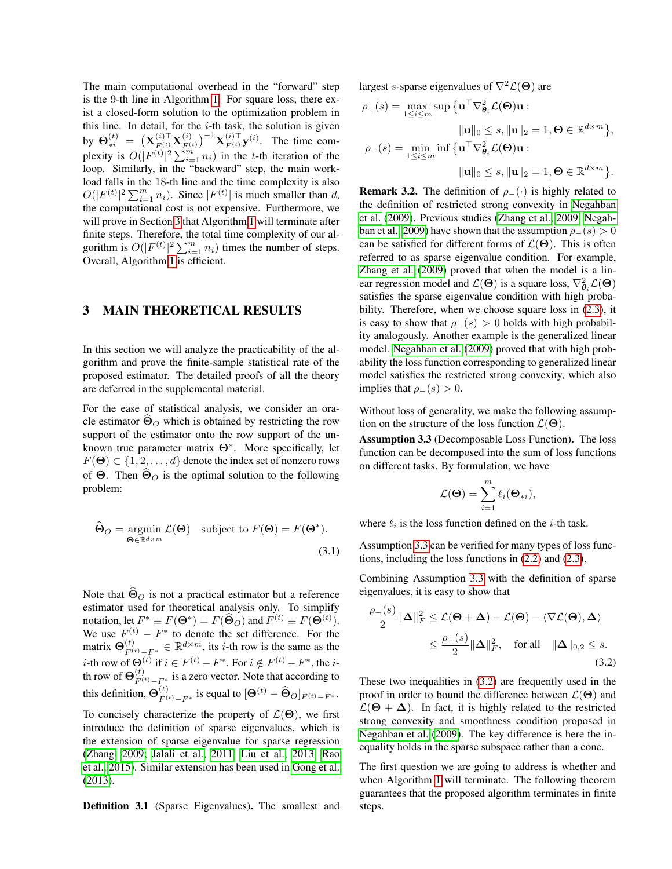The main computational overhead in the "forward" step is the 9-th line in Algorithm [1.](#page-2-2) For square loss, there exist a closed-form solution to the optimization problem in this line. In detail, for the  $i$ -th task, the solution is given by  $\mathbf{\Theta}_{*i}^{(t)}~=~\big(\mathbf{X}_{F^{(t)}}^{(i)\top} \mathbf{X}_{F^{(t)}}^{(i)}$  $(\binom{i}{F^{(t)}})^{-1}$ **X** $(\binom{i}{F^{(t)}}$ **y** $(\binom{i}{t})$ . The time complexity is  $O(|F^{(t)}|^2 \sum_{i=1}^m n_i)$  in the t-th iteration of the loop. Similarly, in the "backward" step, the main workload falls in the 18-th line and the time complexity is also  $O(|F^{(t)}|^2 \sum_{i=1}^m n_i)$ . Since  $|F^{(t)}|$  is much smaller than d, the computational cost is not expensive. Furthermore, we will prove in Section [3](#page-3-0) that Algorithm [1](#page-2-2) will terminate after finite steps. Therefore, the total time complexity of our algorithm is  $O(|F^{(t)}|^2 \sum_{i=1}^m n_i)$  times the number of steps. Overall, Algorithm [1](#page-2-2) is efficient.

#### <span id="page-3-0"></span>3 MAIN THEORETICAL RESULTS

In this section we will analyze the practicability of the algorithm and prove the finite-sample statistical rate of the proposed estimator. The detailed proofs of all the theory are deferred in the supplemental material.

For the ease of statistical analysis, we consider an oracle estimator  $\Theta$ <sup>O</sup> which is obtained by restricting the row support of the estimator onto the row support of the unknown true parameter matrix Θ<sup>∗</sup> . More specifically, let  $F(\Theta) \subset \{1, 2, \ldots, d\}$  denote the index set of nonzero rows of  $\Theta$ . Then  $\Theta$ <sup>o</sup> is the optimal solution to the following problem:

$$
\widehat{\boldsymbol{\Theta}}_O = \underset{\boldsymbol{\Theta} \in \mathbb{R}^{d \times m}}{\operatorname{argmin}} \mathcal{L}(\boldsymbol{\Theta}) \quad \text{subject to } F(\boldsymbol{\Theta}) = F(\boldsymbol{\Theta}^*). \tag{3.1}
$$

Note that  $\widehat{\Theta}_O$  is not a practical estimator but a reference estimator used for theoretical analysis only. To simplify notation, let  $F^* \equiv F(\Theta^*) = F(\widehat{\Theta}_O)$  and  $F^{(t)} \equiv F(\Theta^{(t)})$ . We use  $F_{(1)}^{(t)} - F^*$  to denote the set difference. For the matrix  $\mathbf{\Theta}_{F^{(t)}-F^*}^{(t)} \in \mathbb{R}^{d \times m}$ , its *i*-th row is the same as the *i*-th row of  $\Theta^{(t)}$  if  $i \in F^{(t)} - F^*$ . For  $i \notin F^{(t)} - F^*$ , the *i*th row of  $\mathbf{\Theta}_{F}^{(t)}$  $F^{(t)}_{F^{(t)}-F^*}$  is a zero vector. Note that according to this definition,  $\mathbf{\Theta}_{F}^{(t)}$  $F^{(t)}_{F^{(t)}-F^*}$  is equal to  $[\mathbf{\Theta}^{(t)} - \widehat{\mathbf{\Theta}}_O]_{F^{(t)}-F^*}.$ To concisely characterize the property of  $\mathcal{L}(\Theta)$ , we first introduce the definition of sparse eigenvalues, which is the extension of sparse eigenvalue for sparse regression [\(Zhang, 2009;](#page-9-15) [Jalali et al., 2011;](#page-8-21) [Liu et al., 2013;](#page-8-22) [Rao](#page-9-16)

Definition 3.1 (Sparse Eigenvalues). The smallest and

[et al., 2015\)](#page-9-16). Similar extension has been used in [Gong et al.](#page-8-20)

[\(2013\)](#page-8-20).

largest s-sparse eigenvalues of  $\nabla^2 \mathcal{L}(\Theta)$  are

$$
\rho_{+}(s) = \max_{1 \leq i \leq m} \sup \{ \mathbf{u}^{\top} \nabla_{\theta_{i}}^{2} \mathcal{L}(\Theta) \mathbf{u} : \|\mathbf{u}\|_{0} \leq s, \|\mathbf{u}\|_{2} = 1, \Theta \in \mathbb{R}^{d \times m} \}, \rho_{-}(s) = \min_{1 \leq i \leq m} \inf \{ \mathbf{u}^{\top} \nabla_{\theta_{i}}^{2} \mathcal{L}(\Theta) \mathbf{u} : \|\mathbf{u}\|_{0} \leq s, \|\mathbf{u}\|_{2} = 1, \Theta \in \mathbb{R}^{d \times m} \}.
$$

**Remark 3.2.** The definition of  $\rho$ <sub>−</sub>(·) is highly related to the definition of restricted strong convexity in [Negahban](#page-8-23) [et al.](#page-8-23) [\(2009\)](#page-8-23). Previous studies [\(Zhang et al., 2009;](#page-9-17) [Negah](#page-8-23)[ban et al., 2009\)](#page-8-23) have shown that the assumption  $\rho_-(s) > 0$ can be satisfied for different forms of  $\mathcal{L}(\Theta)$ . This is often referred to as sparse eigenvalue condition. For example, [Zhang et al.](#page-9-17) [\(2009\)](#page-9-17) proved that when the model is a linear regression model and  $\mathcal{L}(\Theta)$  is a square loss,  $\nabla^2_{\theta_i} \mathcal{L}(\Theta)$ satisfies the sparse eigenvalue condition with high probability. Therefore, when we choose square loss in [\(2.3\)](#page-2-3), it is easy to show that  $\rho_-(s) > 0$  holds with high probability analogously. Another example is the generalized linear model. [Negahban et al.](#page-8-23) [\(2009\)](#page-8-23) proved that with high probability the loss function corresponding to generalized linear model satisfies the restricted strong convexity, which also implies that  $\rho_-(s) > 0$ .

Without loss of generality, we make the following assumption on the structure of the loss function  $\mathcal{L}(\Theta)$ .

<span id="page-3-1"></span>Assumption 3.3 (Decomposable Loss Function). The loss function can be decomposed into the sum of loss functions on different tasks. By formulation, we have

$$
\mathcal{L}(\mathbf{\Theta}) = \sum_{i=1}^{m} \ell_i(\mathbf{\Theta}_{*i}),
$$

where  $\ell_i$  is the loss function defined on the *i*-th task.

<span id="page-3-3"></span>Assumption [3.3](#page-3-1) can be verified for many types of loss functions, including the loss functions in [\(2.2\)](#page-2-0) and [\(2.3\)](#page-2-3).

Combining Assumption [3.3](#page-3-1) with the definition of sparse eigenvalues, it is easy to show that

<span id="page-3-2"></span>
$$
\frac{\rho_{-}(s)}{2} \|\mathbf{\Delta}\|_{F}^{2} \leq \mathcal{L}(\mathbf{\Theta} + \mathbf{\Delta}) - \mathcal{L}(\mathbf{\Theta}) - \langle \nabla \mathcal{L}(\mathbf{\Theta}), \mathbf{\Delta} \rangle
$$
  

$$
\leq \frac{\rho_{+}(s)}{2} \|\mathbf{\Delta}\|_{F}^{2}, \quad \text{for all} \quad \|\mathbf{\Delta}\|_{0,2} \leq s.
$$
(3.2)

These two inequalities in [\(3.2\)](#page-3-2) are frequently used in the proof in order to bound the difference between  $\mathcal{L}(\Theta)$  and  $\mathcal{L}(\Theta + \Delta)$ . In fact, it is highly related to the restricted strong convexity and smoothness condition proposed in [Negahban et al.](#page-8-23) [\(2009\)](#page-8-23). The key difference is here the inequality holds in the sparse subspace rather than a cone.

The first question we are going to address is whether and when Algorithm [1](#page-2-2) will terminate. The following theorem guarantees that the proposed algorithm terminates in finite steps.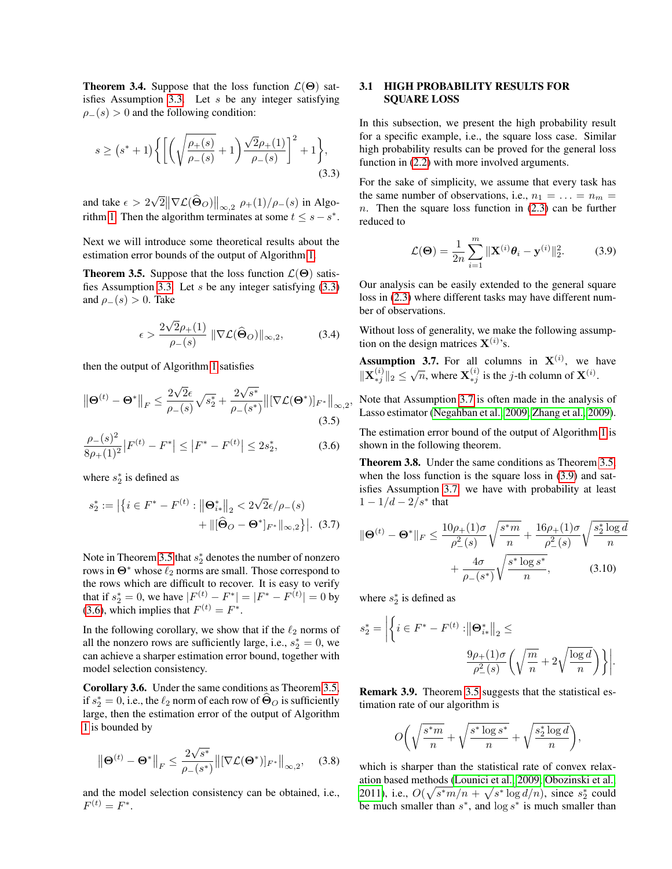**Theorem 3.4.** Suppose that the loss function  $\mathcal{L}(\Theta)$  sat-isfies Assumption [3.3.](#page-3-1) Let  $s$  be any integer satisfying  $\rho_-(s) > 0$  and the following condition:

$$
s \ge (s^* + 1) \left\{ \left[ \left( \sqrt{\frac{\rho_+(s)}{\rho_-(s)}} + 1 \right) \frac{\sqrt{2}\rho_+(1)}{\rho_-(s)} \right]^2 + 1 \right\},\tag{3.3}
$$

and take  $\epsilon > 2$ √  $\mathbb{E}\big\|\nabla \mathcal{L}(\widehat{\boldsymbol{\Theta}}_O)\big\|_{\infty,2}$   $\rho_+(1)/\rho_-(s)$  in Algo-rithm [1.](#page-2-2) Then the algorithm terminates at some  $t \leq s - s^*$ .

Next we will introduce some theoretical results about the estimation error bounds of the output of Algorithm [1.](#page-2-2)

<span id="page-4-1"></span>**Theorem 3.5.** Suppose that the loss function  $\mathcal{L}(\Theta)$  satis-fies Assumption [3.3.](#page-3-1) Let  $s$  be any integer satisfying  $(3.3)$ and  $\rho_-(s) > 0$ . Take

$$
\epsilon > \frac{2\sqrt{2}\rho_+(1)}{\rho_-(s)} \|\nabla \mathcal{L}(\widehat{\Theta}_O)\|_{\infty,2},\tag{3.4}
$$

then the output of Algorithm [1](#page-2-2) satisfies

$$
\left\|\mathbf{\Theta}^{(t)} - \mathbf{\Theta}^*\right\|_F \le \frac{2\sqrt{2}\epsilon}{\rho_-(s)}\sqrt{s_2^*} + \frac{2\sqrt{s^*}}{\rho_-(s^*)}\left\|[\nabla\mathcal{L}(\mathbf{\Theta}^*)]_{F^*}\right\|_{\infty,2},\tag{3.5}
$$

$$
\frac{\rho_{-}(s)^{2}}{8\rho_{+}(1)^{2}}|F^{(t)} - F^{*}| \le |F^{*} - F^{(t)}| \le 2s_{2}^{*},\tag{3.6}
$$

where  $s_2^*$  is defined as

$$
s_2^* := \left| \left\{ i \in F^* - F^{(t)} : \left\| \mathbf{\Theta}_{i*}^* \right\|_2 < 2\sqrt{2}\epsilon/\rho_{-}(s) \right. \\ \left. + \left\| \left[ \widehat{\mathbf{\Theta}}_O - \mathbf{\Theta}^* \right]_{F^*} \right\|_{\infty,2} \right\} \right|.
$$
 (3.7)

Note in Theorem [3.5](#page-4-1) that  $s_2^*$  denotes the number of nonzero rows in  $\Theta^*$  whose  $\ell_2$  norms are small. Those correspond to the rows which are difficult to recover. It is easy to verify that if  $s_2^* = 0$ , we have  $|F^{(t)} - F^*| = |F^* - F^{(t)}| = 0$  by [\(3.6\)](#page-4-2), which implies that  $F^{(t)} = F^*$ .

In the following corollary, we show that if the  $\ell_2$  norms of all the nonzero rows are sufficiently large, i.e.,  $s_2^* = 0$ , we can achieve a sharper estimation error bound, together with model selection consistency.

Corollary 3.6. Under the same conditions as Theorem [3.5,](#page-4-1) if  $s_2^* = 0$ , i.e., the  $\ell_2$  norm of each row of  $\widehat{\Theta}_O$  is sufficiently large, then the estimation error of the output of Algorithm [1](#page-2-2) is bounded by

$$
\left\|\mathbf{\Theta}^{(t)} - \mathbf{\Theta}^*\right\|_F \le \frac{2\sqrt{s^*}}{\rho_-(s^*)} \left\|[\nabla \mathcal{L}(\mathbf{\Theta}^*)]_{F^*}\right\|_{\infty,2},\tag{3.8}
$$

and the model selection consistency can be obtained, i.e.,  $F^{(t)} = F^*$ .

#### 3.1 HIGH PROBABILITY RESULTS FOR SQUARE LOSS

In this subsection, we present the high probability result for a specific example, i.e., the square loss case. Similar high probability results can be proved for the general loss function in [\(2.2\)](#page-2-0) with more involved arguments.

<span id="page-4-0"></span>For the sake of simplicity, we assume that every task has the same number of observations, i.e.,  $n_1 = \ldots = n_m =$  $n.$  Then the square loss function in  $(2.3)$  can be further reduced to

<span id="page-4-4"></span>
$$
\mathcal{L}(\Theta) = \frac{1}{2n} \sum_{i=1}^{m} ||\mathbf{X}^{(i)} \boldsymbol{\theta}_i - \mathbf{y}^{(i)}||_2^2.
$$
 (3.9)

Our analysis can be easily extended to the general square loss in [\(2.3\)](#page-2-3) where different tasks may have different number of observations.

Without loss of generality, we make the following assumption on the design matrices  $X^{(i)}$ 's.

<span id="page-4-3"></span>**Assumption 3.7.** For all columns in  $X^{(i)}$ , we have  $\|\mathbf{X}_{*j}^{(i)}\|_2 \leq \sqrt{n}$ , where  $\mathbf{X}_{*j}^{(i)}$  is the *j*-th column of  $\mathbf{X}^{(i)}$ .

Note that Assumption [3.7](#page-4-3) is often made in the analysis of Lasso estimator [\(Negahban et al., 2009;](#page-8-23) [Zhang et al., 2009\)](#page-9-17).

<span id="page-4-2"></span>The estimation error bound of the output of Algorithm [1](#page-2-2) is shown in the following theorem.

<span id="page-4-5"></span>Theorem 3.8. Under the same conditions as Theorem [3.5,](#page-4-1) when the loss function is the square loss in  $(3.9)$  and satisfies Assumption [3.7,](#page-4-3) we have with probability at least  $1 - 1/d - 2/s^*$  that

$$
\|\mathbf{\Theta}^{(t)} - \mathbf{\Theta}^*\|_F \le \frac{10\rho_+(1)\sigma}{\rho_-^2(s)} \sqrt{\frac{s^*m}{n}} + \frac{16\rho_+(1)\sigma}{\rho_-^2(s)} \sqrt{\frac{s_2^* \log d}{n}}
$$

$$
+ \frac{4\sigma}{\rho_-(s^*)} \sqrt{\frac{s^* \log s^*}{n}}, \qquad (3.10)
$$

where  $s_2^*$  is defined as

$$
s_2^* = \left| \left\{ i \in F^* - F^{(t)} : \left\| \Theta_{i*}^* \right\|_2 \leq \right\}
$$

$$
\frac{9\rho_+(1)\sigma}{\rho^2_-(s)} \left( \sqrt{\frac{m}{n}} + 2\sqrt{\frac{\log d}{n}} \right) \right\} \right|.
$$

Remark 3.9. Theorem [3.5](#page-4-1) suggests that the statistical estimation rate of our algorithm is

$$
O\bigg(\sqrt{\frac{s^*m}{n}} + \sqrt{\frac{s^* \log s^*}{n}} + \sqrt{\frac{s_2^* \log d}{n}}\bigg),
$$

which is sharper than the statistical rate of convex relaxation based methods [\(Lounici et al., 2009;](#page-8-10) [Obozinski et al.,](#page-8-16) [2011\)](#page-8-16), i.e.,  $O(\sqrt{s^*m/n} + \sqrt{s^* \log d/n})$ , since  $s_2^*$  could be much smaller than  $s^*$ , and  $\log s^*$  is much smaller than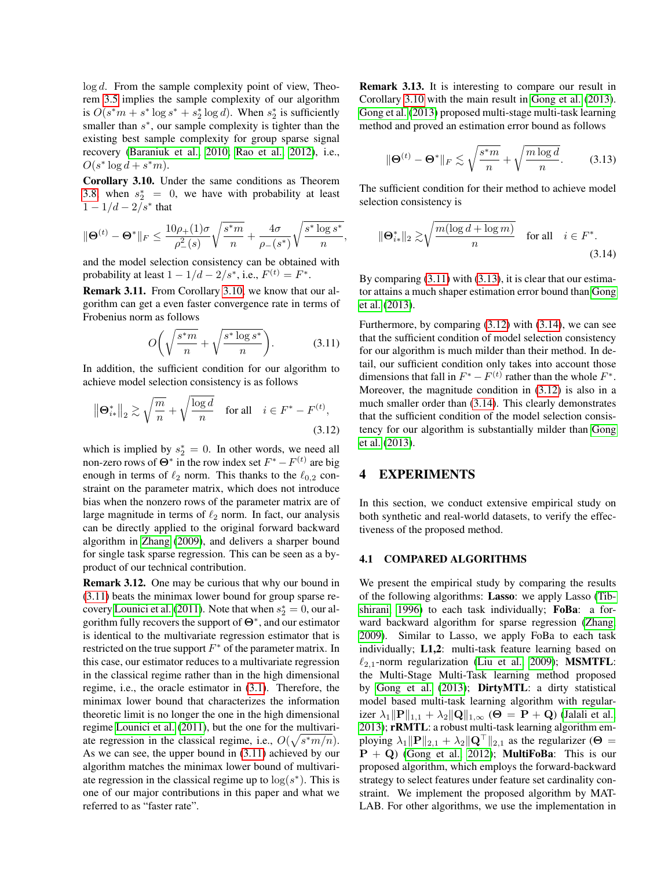$log d$ . From the sample complexity point of view, Theorem [3.5](#page-4-1) implies the sample complexity of our algorithm is  $O(s^*m + s^* \log s^* + s^* \log d)$ . When  $s^* \geq s^*$  is sufficiently smaller than  $s^*$ , our sample complexity is tighter than the existing best sample complexity for group sparse signal recovery [\(Baraniuk et al., 2010;](#page-8-24) [Rao et al., 2012\)](#page-9-18), i.e.,  $O(s^* \log d + s^*m).$ 

<span id="page-5-1"></span>Corollary 3.10. Under the same conditions as Theorem [3.8,](#page-4-5) when  $s_2^* = 0$ , we have with probability at least  $1 - 1/d - 2/s^*$  that

$$
\|\Theta^{(t)} - \Theta^*\|_F \le \frac{10\rho_+(1)\sigma}{\rho_-^2(s)} \sqrt{\frac{s^*m}{n}} + \frac{4\sigma}{\rho_-(s^*)} \sqrt{\frac{s^* \log s^*}{n}},
$$

and the model selection consistency can be obtained with probability at least  $1 - 1/d - 2/s^*$ , i.e.,  $F^{(t)} = F^*$ .

Remark 3.11. From Corollary [3.10,](#page-5-1) we know that our algorithm can get a even faster convergence rate in terms of Frobenius norm as follows

$$
O\bigg(\sqrt{\frac{s^*m}{n}} + \sqrt{\frac{s^* \log s^*}{n}}\bigg). \tag{3.11}
$$

In addition, the sufficient condition for our algorithm to achieve model selection consistency is as follows

$$
\|\mathbf{\Theta}_{i\ast}^*\|_2 \gtrsim \sqrt{\frac{m}{n}} + \sqrt{\frac{\log d}{n}} \quad \text{for all} \quad i \in F^* - F^{(t)},\tag{3.12}
$$

which is implied by  $s_2^* = 0$ . In other words, we need all non-zero rows of  $\Theta^*$  in the row index set  $F^* - F^{(t)}$  are big enough in terms of  $\ell_2$  norm. This thanks to the  $\ell_{0,2}$  constraint on the parameter matrix, which does not introduce bias when the nonzero rows of the parameter matrix are of large magnitude in terms of  $\ell_2$  norm. In fact, our analysis can be directly applied to the original forward backward algorithm in [Zhang](#page-9-15) [\(2009\)](#page-9-15), and delivers a sharper bound for single task sparse regression. This can be seen as a byproduct of our technical contribution.

Remark 3.12. One may be curious that why our bound in [\(3.11\)](#page-5-2) beats the minimax lower bound for group sparse re-covery [Lounici et al.](#page-8-11) [\(2011\)](#page-8-11). Note that when  $s_2^* = 0$ , our algorithm fully recovers the support of  $\Theta^*$ , and our estimator is identical to the multivariate regression estimator that is restricted on the true support  $F^*$  of the parameter matrix. In this case, our estimator reduces to a multivariate regression in the classical regime rather than in the high dimensional regime, i.e., the oracle estimator in [\(3.1\)](#page-3-3). Therefore, the minimax lower bound that characterizes the information theoretic limit is no longer the one in the high dimensional regime [Lounici et al.](#page-8-11) [\(2011\)](#page-8-11), but the one for the multivariate regression in the classical regime, i.e.,  $O(\sqrt{s^*m/n})$ . As we can see, the upper bound in [\(3.11\)](#page-5-2) achieved by our algorithm matches the minimax lower bound of multivariate regression in the classical regime up to  $\log(s^*)$ . This is one of our major contributions in this paper and what we referred to as "faster rate".

Remark 3.13. It is interesting to compare our result in Corollary [3.10](#page-5-1) with the main result in [Gong et al.](#page-8-20) [\(2013\)](#page-8-20). [Gong et al.](#page-8-20) [\(2013\)](#page-8-20) proposed multi-stage multi-task learning method and proved an estimation error bound as follows

<span id="page-5-3"></span>
$$
\|\mathbf{\Theta}^{(t)} - \mathbf{\Theta}^*\|_F \lesssim \sqrt{\frac{s^*m}{n}} + \sqrt{\frac{m\log d}{n}}.\tag{3.13}
$$

The sufficient condition for their method to achieve model selection consistency is

<span id="page-5-5"></span>
$$
\|\Theta_{i*}^*\|_2 \gtrsim \sqrt{\frac{m(\log d + \log m)}{n}} \quad \text{for all} \quad i \in F^*.
$$
\n(3.14)

By comparing  $(3.11)$  with  $(3.13)$ , it is clear that our estimator attains a much shaper estimation error bound than [Gong](#page-8-20) [et al.](#page-8-20) [\(2013\)](#page-8-20).

<span id="page-5-2"></span>Furthermore, by comparing [\(3.12\)](#page-5-4) with [\(3.14\)](#page-5-5), we can see that the sufficient condition of model selection consistency for our algorithm is much milder than their method. In detail, our sufficient condition only takes into account those dimensions that fall in  $F^* - F^{(t)}$  rather than the whole  $F^*$ . Moreover, the magnitude condition in [\(3.12\)](#page-5-4) is also in a much smaller order than [\(3.14\)](#page-5-5). This clearly demonstrates that the sufficient condition of the model selection consistency for our algorithm is substantially milder than [Gong](#page-8-20) [et al.](#page-8-20) [\(2013\)](#page-8-20).

### <span id="page-5-4"></span><span id="page-5-0"></span>4 EXPERIMENTS

In this section, we conduct extensive empirical study on both synthetic and real-world datasets, to verify the effectiveness of the proposed method.

#### 4.1 COMPARED ALGORITHMS

We present the empirical study by comparing the results of the following algorithms: Lasso: we apply Lasso [\(Tib](#page-9-19)[shirani, 1996\)](#page-9-19) to each task individually; FoBa: a forward backward algorithm for sparse regression [\(Zhang,](#page-9-15) [2009\)](#page-9-15). Similar to Lasso, we apply FoBa to each task individually; L1,2: multi-task feature learning based on  $\ell_{2,1}$ -norm regularization [\(Liu et al., 2009\)](#page-8-9); MSMTFL: the Multi-Stage Multi-Task learning method proposed by [Gong et al.](#page-8-20) [\(2013\)](#page-8-20); DirtyMTL: a dirty statistical model based multi-task learning algorithm with regularizer  $\lambda_1 \|\mathbf{P}\|_{1,1} + \lambda_2 \|\mathbf{Q}\|_{1,\infty}$  ( $\Theta = \mathbf{P} + \mathbf{Q}$ ) [\(Jalali et al.,](#page-8-17) [2013\)](#page-8-17); rRMTL: a robust multi-task learning algorithm employing  $\lambda_1 \|\mathbf{P}\|_{2,1} + \lambda_2 \|\mathbf{Q}^\top\|_{2,1}$  as the regularizer ( $\Theta =$  $P + Q$ ) [\(Gong et al., 2012\)](#page-8-15); MultiFoBa: This is our proposed algorithm, which employs the forward-backward strategy to select features under feature set cardinality constraint. We implement the proposed algorithm by MAT-LAB. For other algorithms, we use the implementation in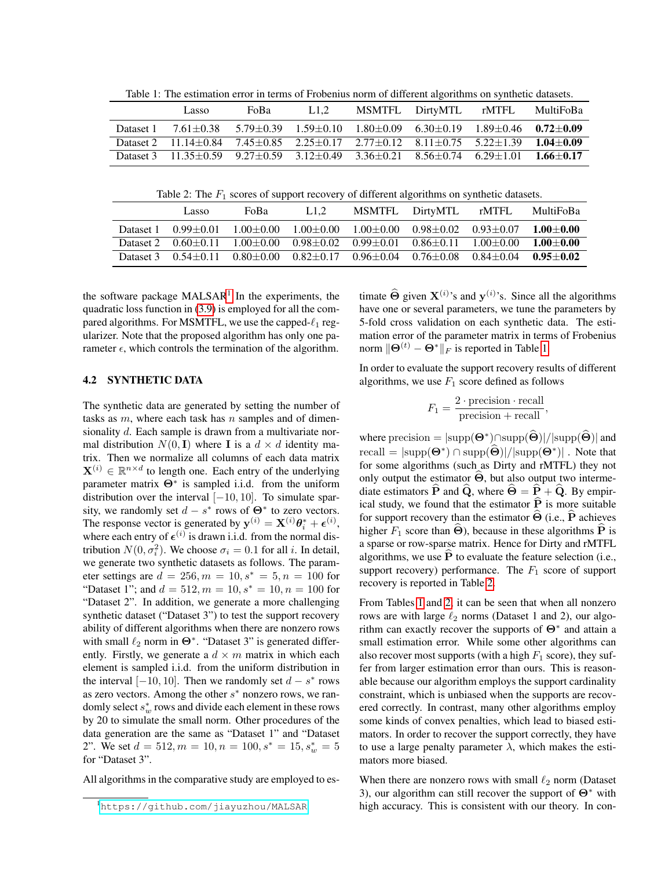|  |  |  | Table 1: The estimation error in terms of Frobenius norm of different algorithms on synthetic datasets. |
|--|--|--|---------------------------------------------------------------------------------------------------------|
|  |  |  |                                                                                                         |

<span id="page-6-1"></span>

|           | Lasso                                                                                                                      | FoBa                                                                                              | L1.2 | MSMTFL DirtyMTL rMTFL | MultiFoBa |
|-----------|----------------------------------------------------------------------------------------------------------------------------|---------------------------------------------------------------------------------------------------|------|-----------------------|-----------|
| Dataset 1 |                                                                                                                            | $7.61 + 0.38$ $5.79 + 0.39$ $1.59 + 0.10$ $1.80 + 0.09$ $6.30 + 0.19$ $1.89 + 0.46$ $0.72 + 0.09$ |      |                       |           |
|           | Dataset 2 11.14 $\pm$ 0.84 7.45 $\pm$ 0.85 2.25 $\pm$ 0.17 2.77 $\pm$ 0.12 8.11 $\pm$ 0.75 5.22 $\pm$ 1.39 1.04 $\pm$ 0.09 |                                                                                                   |      |                       |           |
|           | Dataset 3 11.35 + 0.59 9.27 + 0.59 3.12 + 0.49 3.36 + 0.21 8.56 + 0.74 6.29 + 1.01 1.66 + 0.17                             |                                                                                                   |      |                       |           |

Table 2: The  $F_1$  scores of support recovery of different algorithms on synthetic datasets.

<span id="page-6-2"></span>

|           | Lasso                   | FoBa                                                                                          | L1.2 | MSMTFL DirtyMTL                                             | rMTFL                                                                   | MultiFoBa     |
|-----------|-------------------------|-----------------------------------------------------------------------------------------------|------|-------------------------------------------------------------|-------------------------------------------------------------------------|---------------|
| Dataset 1 | $0.99 + 0.01$           |                                                                                               |      | $1.00+0.00$ $1.00+0.00$ $1.00+0.00$ $0.98+0.02$ $0.93+0.07$ |                                                                         | $1.00 + 0.00$ |
|           | Dataset 2 $0.60 + 0.11$ |                                                                                               |      |                                                             | $1.00+0.00$ $0.98+0.02$ $0.99+0.01$ $0.86+0.11$ $1.00+0.00$ $1.00+0.00$ |               |
|           |                         | Dataset 3 $0.54+0.11$ $0.80+0.00$ $0.82+0.17$ $0.96+0.04$ $0.76+0.08$ $0.84+0.04$ $0.95+0.02$ |      |                                                             |                                                                         |               |

the software package MALSAR<sup>[1](#page-6-0)</sup> In the experiments, the quadratic loss function in [\(3.9\)](#page-4-4) is employed for all the compared algorithms. For MSMTFL, we use the capped- $\ell_1$  regularizer. Note that the proposed algorithm has only one parameter  $\epsilon$ , which controls the termination of the algorithm.

#### 4.2 SYNTHETIC DATA

The synthetic data are generated by setting the number of tasks as  $m$ , where each task has  $n$  samples and of dimensionality d. Each sample is drawn from a multivariate normal distribution  $N(0, I)$  where I is a  $d \times d$  identity matrix. Then we normalize all columns of each data matrix  $\mathbf{X}^{(i)} \in \mathbb{R}^{n \times d}$  to length one. Each entry of the underlying parameter matrix  $\Theta^*$  is sampled i.i.d. from the uniform distribution over the interval  $[-10, 10]$ . To simulate sparsity, we randomly set  $d - s^*$  rows of  $\Theta^*$  to zero vectors. The response vector is generated by  $y^{(i)} = X^{(i)}\theta_i^* + \epsilon^{(i)}$ , where each entry of  $\epsilon^{(i)}$  is drawn i.i.d. from the normal distribution  $N(0, \sigma_i^2)$ . We choose  $\sigma_i = 0.1$  for all *i*. In detail, we generate two synthetic datasets as follows. The parameter settings are  $d = 256, m = 10, s^* = 5, n = 100$  for "Dataset 1"; and  $d = 512, m = 10, s^* = 10, n = 100$  for "Dataset 2". In addition, we generate a more challenging synthetic dataset ("Dataset 3") to test the support recovery ability of different algorithms when there are nonzero rows with small  $\ell_2$  norm in  $\Theta^*$ . "Dataset 3" is generated differently. Firstly, we generate a  $d \times m$  matrix in which each element is sampled i.i.d. from the uniform distribution in the interval  $[-10, 10]$ . Then we randomly set  $d - s^*$  rows as zero vectors. Among the other  $s^*$  nonzero rows, we randomly select  $s_w^*$  rows and divide each element in these rows by 20 to simulate the small norm. Other procedures of the data generation are the same as "Dataset 1" and "Dataset 2". We set  $d = 512, m = 10, n = 100, s^* = 15, s_w^* = 5$ for "Dataset 3".

All algorithms in the comparative study are employed to es-

timate  $\hat{\Theta}$  given  $X^{(i)}$ 's and  $y^{(i)}$ 's. Since all the algorithms have one or several parameters, we tune the parameters by 5-fold cross validation on each synthetic data. The estimation error of the parameter matrix in terms of Frobenius norm  $\|\Theta^{(t)} - \Theta^*\|_F$  is reported in Table [1.](#page-6-1)

In order to evaluate the support recovery results of different algorithms, we use  $F_1$  score defined as follows

$$
F_1 = \frac{2 \cdot \text{precision} \cdot \text{recall}}{\text{precision} + \text{recall}},
$$

where precision =  $|\text{supp}(\Theta^*) \cap \text{supp}(\widehat{\Theta})| / |\text{supp}(\widehat{\Theta})|$  and  $\text{recall} = |\text{supp}(\mathbf{\Theta}^*) \cap \text{supp}(\mathbf{\Theta})| / |\text{supp}(\mathbf{\Theta}^*)|$ . Note that for some algorithms (such as Dirty and rMTFL) they not only output the estimator  $\Theta$ , but also output two intermediate estimators  $\hat{P}$  and  $\hat{Q}$ , where  $\hat{\Theta} = \hat{P} + \hat{Q}$ . By empirical study, we found that the estimator  $\hat{P}$  is more suitable for support recovery than the estimator  $\widehat{\Theta}$  (i.e.,  $\widehat{P}$  achieves higher  $F_1$  score than  $\widehat{\Theta}$ ), because in these algorithms  $\widehat{P}$  is a sparse or row-sparse matrix. Hence for Dirty and rMTFL algorithms, we use  $P$  to evaluate the feature selection (i.e., support recovery) performance. The  $F_1$  score of support recovery is reported in Table [2.](#page-6-2)

From Tables [1](#page-6-1) and [2,](#page-6-2) it can be seen that when all nonzero rows are with large  $\ell_2$  norms (Dataset 1 and 2), our algorithm can exactly recover the supports of  $\Theta^*$  and attain a small estimation error. While some other algorithms can also recover most supports (with a high  $F_1$  score), they suffer from larger estimation error than ours. This is reasonable because our algorithm employs the support cardinality constraint, which is unbiased when the supports are recovered correctly. In contrast, many other algorithms employ some kinds of convex penalties, which lead to biased estimators. In order to recover the support correctly, they have to use a large penalty parameter  $\lambda$ , which makes the estimators more biased.

When there are nonzero rows with small  $\ell_2$  norm (Dataset 3), our algorithm can still recover the support of  $\Theta^*$  with high accuracy. This is consistent with our theory. In con-

<span id="page-6-0"></span><sup>1</sup><https://github.com/jiayuzhou/MALSAR>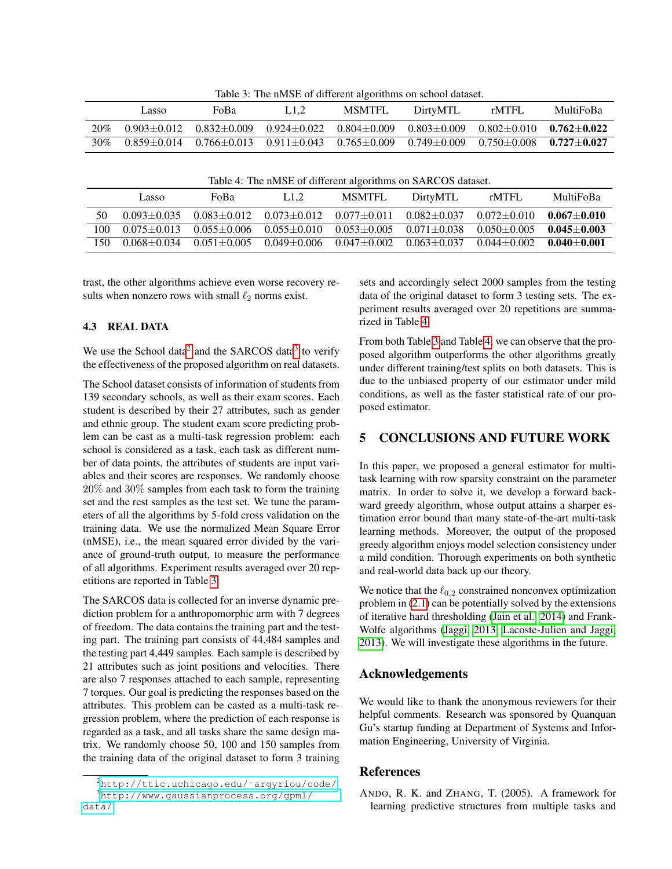Table 3: The nMSE of different algorithms on school dataset.

<span id="page-7-4"></span>

|     | Lasso           | FoBa            | L1.2            | MSMTFL          | DirtyMTL        | rMTFL                           | MultiFoBa |
|-----|-----------------|-----------------|-----------------|-----------------|-----------------|---------------------------------|-----------|
| 20% | $0.903 + 0.012$ | $0.832 + 0.009$ | $0.924 + 0.022$ | $0.804 + 0.009$ | $0.803 + 0.009$ | $0.802 + 0.010$ $0.762 + 0.022$ |           |
| 30% | $0.859 + 0.014$ | $0.766 + 0.013$ | $0.911 + 0.043$ | $0.765 + 0.009$ | $0.749 + 0.009$ | $0.750 + 0.008$ $0.727 + 0.027$ |           |

| Table 4: The nMSE of different algorithms on SARCOS dataset. |  |  |  |  |  |  |  |  |  |  |
|--------------------------------------------------------------|--|--|--|--|--|--|--|--|--|--|
|--------------------------------------------------------------|--|--|--|--|--|--|--|--|--|--|

<span id="page-7-5"></span>

|      | Lasso           | FoBa            | L1.2            | <b>MSMTFL</b>   | DirtyMTL        | rMTFL           | MultiFoBa       |
|------|-----------------|-----------------|-----------------|-----------------|-----------------|-----------------|-----------------|
| 50   | $0.093 + 0.035$ | $0.083 + 0.012$ | $0.073 + 0.012$ | $0.077 + 0.011$ | $0.082 + 0.037$ | $0.072 + 0.010$ | $0.067 + 0.010$ |
| 100  | $0.075 + 0.013$ | $0.055 + 0.006$ | $0.055 + 0.010$ | $0.053 + 0.005$ | $0.071 + 0.038$ | $0.050 + 0.005$ | $0.045 + 0.003$ |
| . 50 | $0.068 + 0.034$ | $0.051 + 0.005$ | $0.049 + 0.006$ | $0.047 + 0.002$ | $0.063 + 0.037$ | $0.044 + 0.002$ | $0.040 + 0.001$ |

trast, the other algorithms achieve even worse recovery results when nonzero rows with small  $\ell_2$  norms exist.

#### 4.3 REAL DATA

We use the School data<sup>[2](#page-7-2)</sup> and the SARCOS data<sup>[3](#page-7-3)</sup> to verify the effectiveness of the proposed algorithm on real datasets.

The School dataset consists of information of students from 139 secondary schools, as well as their exam scores. Each student is described by their 27 attributes, such as gender and ethnic group. The student exam score predicting problem can be cast as a multi-task regression problem: each school is considered as a task, each task as different number of data points, the attributes of students are input variables and their scores are responses. We randomly choose 20% and 30% samples from each task to form the training set and the rest samples as the test set. We tune the parameters of all the algorithms by 5-fold cross validation on the training data. We use the normalized Mean Square Error (nMSE), i.e., the mean squared error divided by the variance of ground-truth output, to measure the performance of all algorithms. Experiment results averaged over 20 repetitions are reported in Table [3.](#page-7-4)

The SARCOS data is collected for an inverse dynamic prediction problem for a anthropomorphic arm with 7 degrees of freedom. The data contains the training part and the testing part. The training part consists of 44,484 samples and the testing part 4,449 samples. Each sample is described by 21 attributes such as joint positions and velocities. There are also 7 responses attached to each sample, representing 7 torques. Our goal is predicting the responses based on the attributes. This problem can be casted as a multi-task regression problem, where the prediction of each response is regarded as a task, and all tasks share the same design matrix. We randomly choose 50, 100 and 150 samples from the training data of the original dataset to form 3 training

sets and accordingly select 2000 samples from the testing data of the original dataset to form 3 testing sets. The experiment results averaged over 20 repetitions are summarized in Table [4.](#page-7-5)

From both Table [3](#page-7-4) and Table [4,](#page-7-5) we can observe that the proposed algorithm outperforms the other algorithms greatly under different training/test splits on both datasets. This is due to the unbiased property of our estimator under mild conditions, as well as the faster statistical rate of our proposed estimator.

#### <span id="page-7-1"></span>5 CONCLUSIONS AND FUTURE WORK

In this paper, we proposed a general estimator for multitask learning with row sparsity constraint on the parameter matrix. In order to solve it, we develop a forward backward greedy algorithm, whose output attains a sharper estimation error bound than many state-of-the-art multi-task learning methods. Moreover, the output of the proposed greedy algorithm enjoys model selection consistency under a mild condition. Thorough experiments on both synthetic and real-world data back up our theory.

We notice that the  $\ell_{0,2}$  constrained nonconvex optimization problem in [\(2.1\)](#page-2-1) can be potentially solved by the extensions of iterative hard thresholding [\(Jain et al., 2014\)](#page-8-25) and Frank-Wolfe algorithms [\(Jaggi, 2013;](#page-8-26) [Lacoste-Julien and Jaggi,](#page-8-27) [2013\)](#page-8-27). We will investigate these algorithms in the future.

## Acknowledgements

We would like to thank the anonymous reviewers for their helpful comments. Research was sponsored by Quanquan Gu's startup funding at Department of Systems and Information Engineering, University of Virginia.

## References

<span id="page-7-0"></span>ANDO, R. K. and ZHANG, T. (2005). A framework for learning predictive structures from multiple tasks and

<span id="page-7-3"></span><span id="page-7-2"></span><sup>2</sup>[http://ttic.uchicago.edu/˜argyriou/code/](http://ttic.uchicago.edu/~argyriou/code/) <sup>3</sup>[http://www.gaussianprocess.org/gpml/](http://www.gaussianprocess.org/gpml/data/) [data/](http://www.gaussianprocess.org/gpml/data/)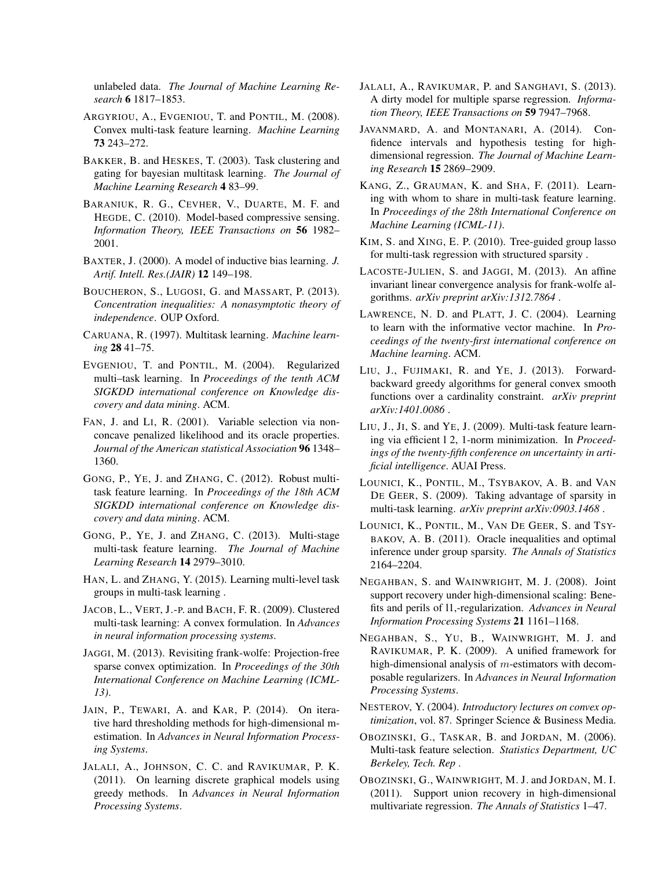unlabeled data. *The Journal of Machine Learning Research* 6 1817–1853.

- <span id="page-8-7"></span>ARGYRIOU, A., EVGENIOU, T. and PONTIL, M. (2008). Convex multi-task feature learning. *Machine Learning* 73 243–272.
- <span id="page-8-2"></span>BAKKER, B. and HESKES, T. (2003). Task clustering and gating for bayesian multitask learning. *The Journal of Machine Learning Research* 4 83–99.
- <span id="page-8-24"></span>BARANIUK, R. G., CEVHER, V., DUARTE, M. F. and HEGDE, C. (2010). Model-based compressive sensing. *Information Theory, IEEE Transactions on* 56 1982– 2001.
- <span id="page-8-1"></span>BAXTER, J. (2000). A model of inductive bias learning. *J. Artif. Intell. Res.(JAIR)* 12 149–198.
- BOUCHERON, S., LUGOSI, G. and MASSART, P. (2013). *Concentration inequalities: A nonasymptotic theory of independence*. OUP Oxford.
- <span id="page-8-0"></span>CARUANA, R. (1997). Multitask learning. *Machine learning* 28 41–75.
- <span id="page-8-4"></span>EVGENIOU, T. and PONTIL, M. (2004). Regularized multi–task learning. In *Proceedings of the tenth ACM SIGKDD international conference on Knowledge discovery and data mining*. ACM.
- <span id="page-8-18"></span>FAN, J. and LI, R. (2001). Variable selection via nonconcave penalized likelihood and its oracle properties. *Journal of the American statistical Association* 96 1348– 1360.
- <span id="page-8-15"></span>GONG, P., YE, J. and ZHANG, C. (2012). Robust multitask feature learning. In *Proceedings of the 18th ACM SIGKDD international conference on Knowledge discovery and data mining*. ACM.
- <span id="page-8-20"></span>GONG, P., YE, J. and ZHANG, C. (2013). Multi-stage multi-task feature learning. *The Journal of Machine Learning Research* 14 2979–3010.
- <span id="page-8-5"></span>HAN, L. and ZHANG, Y. (2015). Learning multi-level task groups in multi-task learning .
- <span id="page-8-12"></span>JACOB, L., VERT, J.-P. and BACH, F. R. (2009). Clustered multi-task learning: A convex formulation. In *Advances in neural information processing systems*.
- <span id="page-8-26"></span>JAGGI, M. (2013). Revisiting frank-wolfe: Projection-free sparse convex optimization. In *Proceedings of the 30th International Conference on Machine Learning (ICML-13)*.
- <span id="page-8-25"></span>JAIN, P., TEWARI, A. and KAR, P. (2014). On iterative hard thresholding methods for high-dimensional mestimation. In *Advances in Neural Information Processing Systems*.
- <span id="page-8-21"></span>JALALI, A., JOHNSON, C. C. and RAVIKUMAR, P. K. (2011). On learning discrete graphical models using greedy methods. In *Advances in Neural Information Processing Systems*.
- <span id="page-8-17"></span>JALALI, A., RAVIKUMAR, P. and SANGHAVI, S. (2013). A dirty model for multiple sparse regression. *Information Theory, IEEE Transactions on* 59 7947–7968.
- <span id="page-8-19"></span>JAVANMARD, A. and MONTANARI, A. (2014). Confidence intervals and hypothesis testing for highdimensional regression. *The Journal of Machine Learning Research* 15 2869–2909.
- <span id="page-8-14"></span>KANG, Z., GRAUMAN, K. and SHA, F. (2011). Learning with whom to share in multi-task feature learning. In *Proceedings of the 28th International Conference on Machine Learning (ICML-11)*.
- <span id="page-8-13"></span>KIM, S. and XING, E. P. (2010). Tree-guided group lasso for multi-task regression with structured sparsity .
- <span id="page-8-27"></span>LACOSTE-JULIEN, S. and JAGGI, M. (2013). An affine invariant linear convergence analysis for frank-wolfe algorithms. *arXiv preprint arXiv:1312.7864* .
- <span id="page-8-3"></span>LAWRENCE, N. D. and PLATT, J. C. (2004). Learning to learn with the informative vector machine. In *Proceedings of the twenty-first international conference on Machine learning*. ACM.
- <span id="page-8-22"></span>LIU, J., FUJIMAKI, R. and YE, J. (2013). Forwardbackward greedy algorithms for general convex smooth functions over a cardinality constraint. *arXiv preprint arXiv:1401.0086* .
- <span id="page-8-9"></span>LIU, J., JI, S. and YE, J. (2009). Multi-task feature learning via efficient l 2, 1-norm minimization. In *Proceedings of the twenty-fifth conference on uncertainty in artificial intelligence*. AUAI Press.
- <span id="page-8-10"></span>LOUNICI, K., PONTIL, M., TSYBAKOV, A. B. and VAN DE GEER, S. (2009). Taking advantage of sparsity in multi-task learning. *arXiv preprint arXiv:0903.1468* .
- <span id="page-8-11"></span>LOUNICI, K., PONTIL, M., VAN DE GEER, S. and TSY-BAKOV, A. B. (2011). Oracle inequalities and optimal inference under group sparsity. *The Annals of Statistics* 2164–2204.
- <span id="page-8-8"></span>NEGAHBAN, S. and WAINWRIGHT, M. J. (2008). Joint support recovery under high-dimensional scaling: Benefits and perils of l1,-regularization. *Advances in Neural Information Processing Systems* 21 1161–1168.
- <span id="page-8-23"></span>NEGAHBAN, S., YU, B., WAINWRIGHT, M. J. and RAVIKUMAR, P. K. (2009). A unified framework for high-dimensional analysis of m-estimators with decomposable regularizers. In *Advances in Neural Information Processing Systems*.
- NESTEROV, Y. (2004). *Introductory lectures on convex optimization*, vol. 87. Springer Science & Business Media.
- <span id="page-8-6"></span>OBOZINSKI, G., TASKAR, B. and JORDAN, M. (2006). Multi-task feature selection. *Statistics Department, UC Berkeley, Tech. Rep* .
- <span id="page-8-16"></span>OBOZINSKI, G., WAINWRIGHT, M. J. and JORDAN, M. I. (2011). Support union recovery in high-dimensional multivariate regression. *The Annals of Statistics* 1–47.